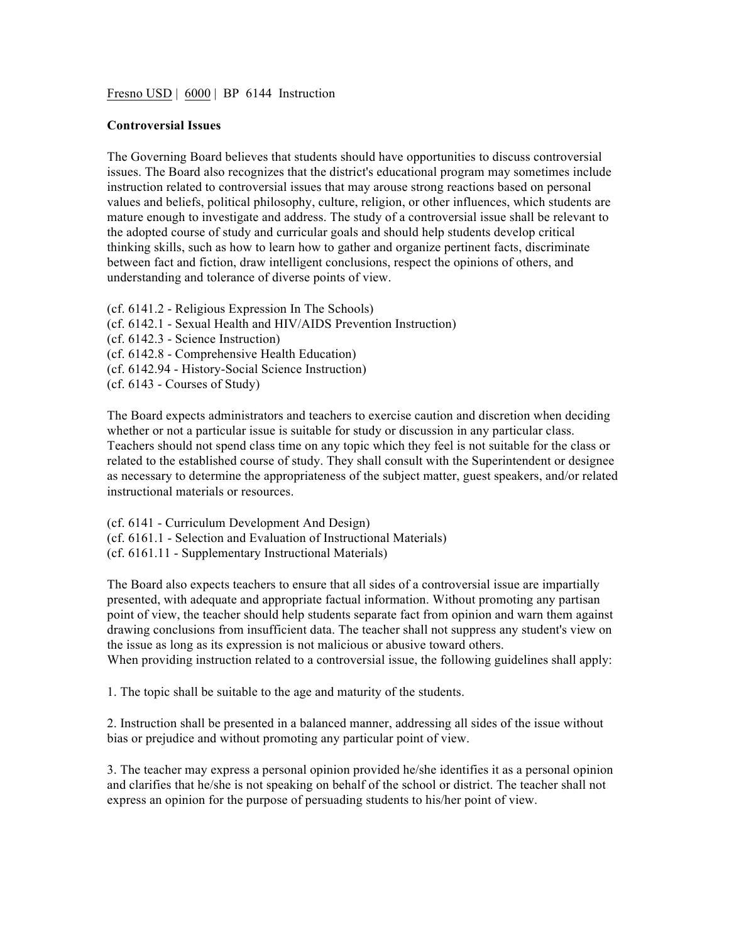Fresno USD | 6000 | BP 6144 Instruction

## **Controversial Issues**

The Governing Board believes that students should have opportunities to discuss controversial issues. The Board also recognizes that the district's educational program may sometimes include instruction related to controversial issues that may arouse strong reactions based on personal values and beliefs, political philosophy, culture, religion, or other influences, which students are mature enough to investigate and address. The study of a controversial issue shall be relevant to the adopted course of study and curricular goals and should help students develop critical thinking skills, such as how to learn how to gather and organize pertinent facts, discriminate between fact and fiction, draw intelligent conclusions, respect the opinions of others, and understanding and tolerance of diverse points of view.

(cf. 6141.2 - Religious Expression In The Schools) (cf. 6142.1 - Sexual Health and HIV/AIDS Prevention Instruction) (cf. 6142.3 - Science Instruction) (cf. 6142.8 - Comprehensive Health Education) (cf. 6142.94 - History-Social Science Instruction) (cf. 6143 - Courses of Study)

The Board expects administrators and teachers to exercise caution and discretion when deciding whether or not a particular issue is suitable for study or discussion in any particular class. Teachers should not spend class time on any topic which they feel is not suitable for the class or related to the established course of study. They shall consult with the Superintendent or designee as necessary to determine the appropriateness of the subject matter, guest speakers, and/or related instructional materials or resources.

(cf. 6141 - Curriculum Development And Design) (cf. 6161.1 - Selection and Evaluation of Instructional Materials) (cf. 6161.11 - Supplementary Instructional Materials)

The Board also expects teachers to ensure that all sides of a controversial issue are impartially presented, with adequate and appropriate factual information. Without promoting any partisan point of view, the teacher should help students separate fact from opinion and warn them against drawing conclusions from insufficient data. The teacher shall not suppress any student's view on the issue as long as its expression is not malicious or abusive toward others. When providing instruction related to a controversial issue, the following guidelines shall apply:

1. The topic shall be suitable to the age and maturity of the students.

2. Instruction shall be presented in a balanced manner, addressing all sides of the issue without bias or prejudice and without promoting any particular point of view.

3. The teacher may express a personal opinion provided he/she identifies it as a personal opinion and clarifies that he/she is not speaking on behalf of the school or district. The teacher shall not express an opinion for the purpose of persuading students to his/her point of view.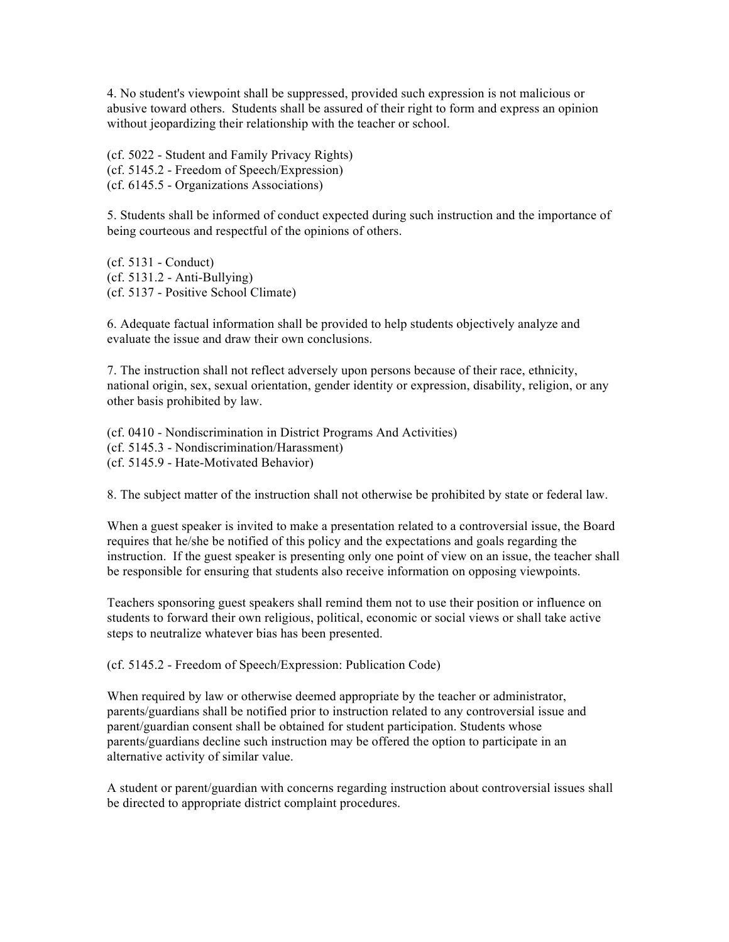4. No student's viewpoint shall be suppressed, provided such expression is not malicious or abusive toward others. Students shall be assured of their right to form and express an opinion without jeopardizing their relationship with the teacher or school.

(cf. 5022 - Student and Family Privacy Rights) (cf. 5145.2 - Freedom of Speech/Expression) (cf. 6145.5 - Organizations Associations)

5. Students shall be informed of conduct expected during such instruction and the importance of being courteous and respectful of the opinions of others.

(cf. 5131 - Conduct) (cf. 5131.2 - Anti-Bullying) (cf. 5137 - Positive School Climate)

6. Adequate factual information shall be provided to help students objectively analyze and evaluate the issue and draw their own conclusions.

7. The instruction shall not reflect adversely upon persons because of their race, ethnicity, national origin, sex, sexual orientation, gender identity or expression, disability, religion, or any other basis prohibited by law.

(cf. 0410 - Nondiscrimination in District Programs And Activities) (cf. 5145.3 - Nondiscrimination/Harassment) (cf. 5145.9 - Hate-Motivated Behavior)

8. The subject matter of the instruction shall not otherwise be prohibited by state or federal law.

When a guest speaker is invited to make a presentation related to a controversial issue, the Board requires that he/she be notified of this policy and the expectations and goals regarding the instruction. If the guest speaker is presenting only one point of view on an issue, the teacher shall be responsible for ensuring that students also receive information on opposing viewpoints.

Teachers sponsoring guest speakers shall remind them not to use their position or influence on students to forward their own religious, political, economic or social views or shall take active steps to neutralize whatever bias has been presented.

(cf. 5145.2 - Freedom of Speech/Expression: Publication Code)

When required by law or otherwise deemed appropriate by the teacher or administrator, parents/guardians shall be notified prior to instruction related to any controversial issue and parent/guardian consent shall be obtained for student participation. Students whose parents/guardians decline such instruction may be offered the option to participate in an alternative activity of similar value.

A student or parent/guardian with concerns regarding instruction about controversial issues shall be directed to appropriate district complaint procedures.